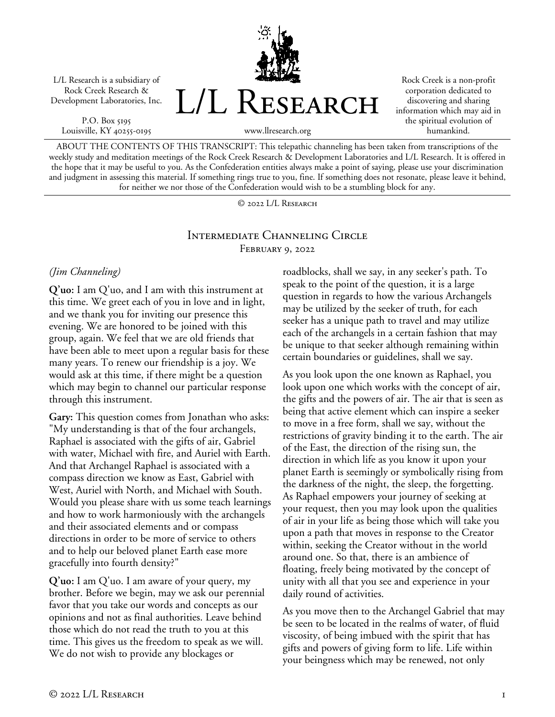L/L Research is a subsidiary of Rock Creek Research & Development Laboratories, Inc.

P.O. Box 5195 Louisville, KY 40255-0195 L/L RESEARCH

Rock Creek is a non-profit corporation dedicated to discovering and sharing information which may aid in the spiritual evolution of humankind.

www.llresearch.org

ABOUT THE CONTENTS OF THIS TRANSCRIPT: This telepathic channeling has been taken from transcriptions of the weekly study and meditation meetings of the Rock Creek Research & Development Laboratories and L/L Research. It is offered in the hope that it may be useful to you. As the Confederation entities always make a point of saying, please use your discrimination and judgment in assessing this material. If something rings true to you, fine. If something does not resonate, please leave it behind, for neither we nor those of the Confederation would wish to be a stumbling block for any.

© 2022 L/L Research

## Intermediate Channeling Circle February 9, 2022

### *(Jim Channeling)*

**Q'uo:** I am Q'uo, and I am with this instrument at this time. We greet each of you in love and in light, and we thank you for inviting our presence this evening. We are honored to be joined with this group, again. We feel that we are old friends that have been able to meet upon a regular basis for these many years. To renew our friendship is a joy. We would ask at this time, if there might be a question which may begin to channel our particular response through this instrument.

**Gary:** This question comes from Jonathan who asks: "My understanding is that of the four archangels, Raphael is associated with the gifts of air, Gabriel with water, Michael with fire, and Auriel with Earth. And that Archangel Raphael is associated with a compass direction we know as East, Gabriel with West, Auriel with North, and Michael with South. Would you please share with us some teach learnings and how to work harmoniously with the archangels and their associated elements and or compass directions in order to be more of service to others and to help our beloved planet Earth ease more gracefully into fourth density?"

**Q'uo:** I am Q'uo. I am aware of your query, my brother. Before we begin, may we ask our perennial favor that you take our words and concepts as our opinions and not as final authorities. Leave behind those which do not read the truth to you at this time. This gives us the freedom to speak as we will. We do not wish to provide any blockages or

roadblocks, shall we say, in any seeker's path. To speak to the point of the question, it is a large question in regards to how the various Archangels may be utilized by the seeker of truth, for each seeker has a unique path to travel and may utilize each of the archangels in a certain fashion that may be unique to that seeker although remaining within certain boundaries or guidelines, shall we say.

As you look upon the one known as Raphael, you look upon one which works with the concept of air, the gifts and the powers of air. The air that is seen as being that active element which can inspire a seeker to move in a free form, shall we say, without the restrictions of gravity binding it to the earth. The air of the East, the direction of the rising sun, the direction in which life as you know it upon your planet Earth is seemingly or symbolically rising from the darkness of the night, the sleep, the forgetting. As Raphael empowers your journey of seeking at your request, then you may look upon the qualities of air in your life as being those which will take you upon a path that moves in response to the Creator within, seeking the Creator without in the world around one. So that, there is an ambience of floating, freely being motivated by the concept of unity with all that you see and experience in your daily round of activities.

As you move then to the Archangel Gabriel that may be seen to be located in the realms of water, of fluid viscosity, of being imbued with the spirit that has gifts and powers of giving form to life. Life within your beingness which may be renewed, not only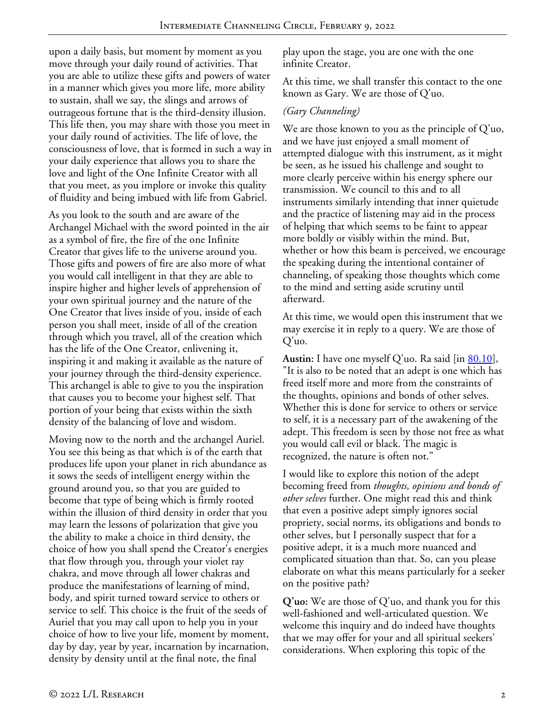upon a daily basis, but moment by moment as you move through your daily round of activities. That you are able to utilize these gifts and powers of water in a manner which gives you more life, more ability to sustain, shall we say, the slings and arrows of outrageous fortune that is the third-density illusion. This life then, you may share with those you meet in your daily round of activities. The life of love, the consciousness of love, that is formed in such a way in your daily experience that allows you to share the love and light of the One Infinite Creator with all that you meet, as you implore or invoke this quality of fluidity and being imbued with life from Gabriel.

As you look to the south and are aware of the Archangel Michael with the sword pointed in the air as a symbol of fire, the fire of the one Infinite Creator that gives life to the universe around you. Those gifts and powers of fire are also more of what you would call intelligent in that they are able to inspire higher and higher levels of apprehension of your own spiritual journey and the nature of the One Creator that lives inside of you, inside of each person you shall meet, inside of all of the creation through which you travel, all of the creation which has the life of the One Creator, enlivening it, inspiring it and making it available as the nature of your journey through the third-density experience. This archangel is able to give to you the inspiration that causes you to become your highest self. That portion of your being that exists within the sixth density of the balancing of love and wisdom.

Moving now to the north and the archangel Auriel. You see this being as that which is of the earth that produces life upon your planet in rich abundance as it sows the seeds of intelligent energy within the ground around you, so that you are guided to become that type of being which is firmly rooted within the illusion of third density in order that you may learn the lessons of polarization that give you the ability to make a choice in third density, the choice of how you shall spend the Creator's energies that flow through you, through your violet ray chakra, and move through all lower chakras and produce the manifestations of learning of mind, body, and spirit turned toward service to others or service to self. This choice is the fruit of the seeds of Auriel that you may call upon to help you in your choice of how to live your life, moment by moment, day by day, year by year, incarnation by incarnation, density by density until at the final note, the final

play upon the stage, you are one with the one infinite Creator.

At this time, we shall transfer this contact to the one known as Gary. We are those of Q'uo.

## *(Gary Channeling)*

We are those known to you as the principle of Q'uo, and we have just enjoyed a small moment of attempted dialogue with this instrument, as it might be seen, as he issued his challenge and sought to more clearly perceive within his energy sphere our transmission. We council to this and to all instruments similarly intending that inner quietude and the practice of listening may aid in the process of helping that which seems to be faint to appear more boldly or visibly within the mind. But, whether or how this beam is perceived, we encourage the speaking during the intentional container of channeling, of speaking those thoughts which come to the mind and setting aside scrutiny until afterward.

At this time, we would open this instrument that we may exercise it in reply to a query. We are those of Q'uo.

Austin: I have one myself Q'uo. Ra said [in <u>80.10</u>], "It is also to be noted that an adept is one which has freed itself more and more from the constraints of the thoughts, opinions and bonds of other selves. Whether this is done for service to others or service to self, it is a necessary part of the awakening of the adept. This freedom is seen by those not free as what you would call evil or black. The magic is recognized, the nature is often not."

I would like to explore this notion of the adept becoming freed from *thoughts, opinions and bonds of other selves* further. One might read this and think that even a positive adept simply ignores social propriety, social norms, its obligations and bonds to other selves, but I personally suspect that for a positive adept, it is a much more nuanced and complicated situation than that. So, can you please elaborate on what this means particularly for a seeker on the positive path?

**Q'uo:** We are those of Q'uo, and thank you for this well-fashioned and well-articulated question. We welcome this inquiry and do indeed have thoughts that we may offer for your and all spiritual seekers' considerations. When exploring this topic of the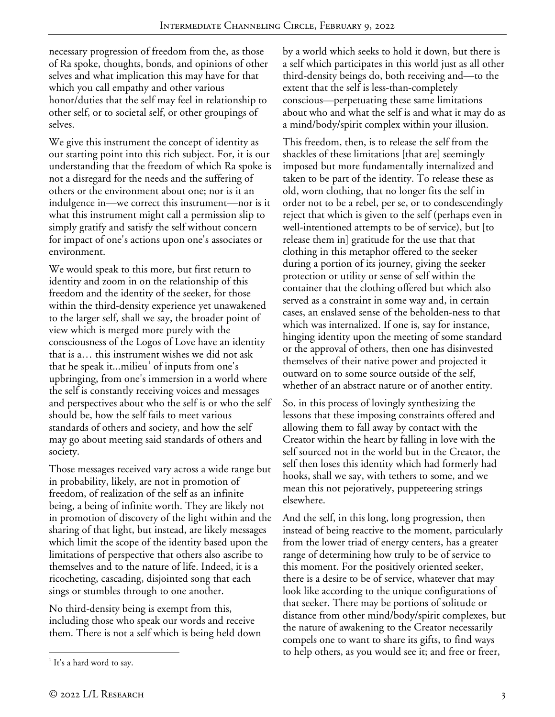necessary progression of freedom from the, as those of Ra spoke, thoughts, bonds, and opinions of other selves and what implication this may have for that which you call empathy and other various honor/duties that the self may feel in relationship to other self, or to societal self, or other groupings of selves.

We give this instrument the concept of identity as our starting point into this rich subject. For, it is our understanding that the freedom of which Ra spoke is not a disregard for the needs and the suffering of others or the environment about one; nor is it an indulgence in—we correct this instrument—nor is it what this instrument might call a permission slip to simply gratify and satisfy the self without concern for impact of one's actions upon one's associates or environment.

We would speak to this more, but first return to identity and zoom in on the relationship of this freedom and the identity of the seeker, for those within the third-density experience yet unawakened to the larger self, shall we say, the broader point of view which is merged more purely with the consciousness of the Logos of Love have an identity that is a… this instrument wishes we did not ask that he speak it...milieu $\overline{a}$  of inputs from one's upbringing, from one's immersion in a world where the self is constantly receiving voices and messages and perspectives about who the self is or who the self should be, how the self fails to meet various standards of others and society, and how the self may go about meeting said standards of others and society.

Those messages received vary across a wide range but in probability, likely, are not in promotion of freedom, of realization of the self as an infinite being, a being of infinite worth. They are likely not in promotion of discovery of the light within and the sharing of that light, but instead, are likely messages which limit the scope of the identity based upon the limitations of perspective that others also ascribe to themselves and to the nature of life. Indeed, it is a ricocheting, cascading, disjointed song that each sings or stumbles through to one another.

No third-density being is exempt from this, including those who speak our words and receive them. There is not a self which is being held down This freedom, then, is to release the self from the shackles of these limitations [that are] seemingly imposed but more fundamentally internalized and taken to be part of the identity. To release these as old, worn clothing, that no longer fits the self in order not to be a rebel, per se, or to condescendingly reject that which is given to the self (perhaps even in well-intentioned attempts to be of service), but [to release them in] gratitude for the use that that clothing in this metaphor offered to the seeker during a portion of its journey, giving the seeker protection or utility or sense of self within the container that the clothing offered but which also served as a constraint in some way and, in certain cases, an enslaved sense of the beholden-ness to that which was internalized. If one is, say for instance, hinging identity upon the meeting of some standard or the approval of others, then one has disinvested themselves of their native power and projected it outward on to some source outside of the self, whether of an abstract nature or of another entity.

So, in this process of lovingly synthesizing the lessons that these imposing constraints offered and allowing them to fall away by contact with the Creator within the heart by falling in love with the self sourced not in the world but in the Creator, the self then loses this identity which had formerly had hooks, shall we say, with tethers to some, and we mean this not pejoratively, puppeteering strings elsewhere.

And the self, in this long, long progression, then instead of being reactive to the moment, particularly from the lower triad of energy centers, has a greater range of determining how truly to be of service to this moment. For the positively oriented seeker, there is a desire to be of service, whatever that may look like according to the unique configurations of that seeker. There may be portions of solitude or distance from other mind/body/spirit complexes, but the nature of awakening to the Creator necessarily compels one to want to share its gifts, to find ways to help others, as you would see it; and free or freer,

<span id="page-2-0"></span> $\frac{1}{1}$  $1$  It's a hard word to say.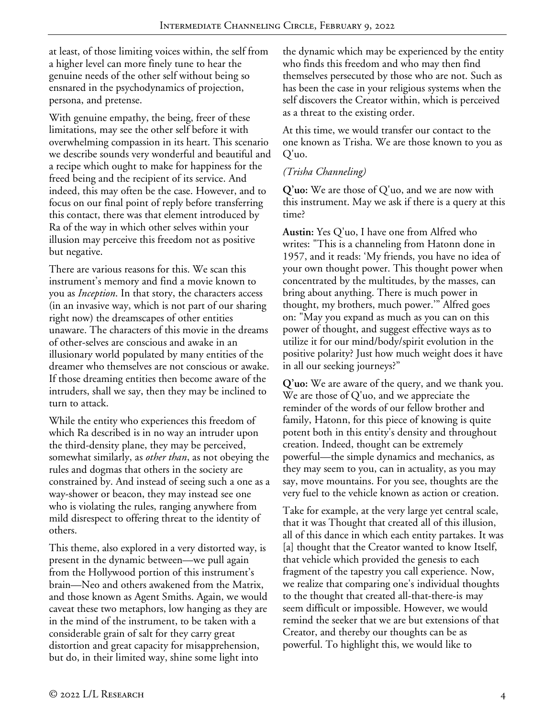at least, of those limiting voices within, the self from a higher level can more finely tune to hear the genuine needs of the other self without being so ensnared in the psychodynamics of projection, persona, and pretense.

With genuine empathy, the being, freer of these limitations, may see the other self before it with overwhelming compassion in its heart. This scenario we describe sounds very wonderful and beautiful and a recipe which ought to make for happiness for the freed being and the recipient of its service. And indeed, this may often be the case. However, and to focus on our final point of reply before transferring this contact, there was that element introduced by Ra of the way in which other selves within your illusion may perceive this freedom not as positive but negative.

There are various reasons for this. We scan this instrument's memory and find a movie known to you as *Inception*. In that story, the characters access (in an invasive way, which is not part of our sharing right now) the dreamscapes of other entities unaware. The characters of this movie in the dreams of other-selves are conscious and awake in an illusionary world populated by many entities of the dreamer who themselves are not conscious or awake. If those dreaming entities then become aware of the intruders, shall we say, then they may be inclined to turn to attack.

While the entity who experiences this freedom of which Ra described is in no way an intruder upon the third-density plane, they may be perceived, somewhat similarly, as *other than*, as not obeying the rules and dogmas that others in the society are constrained by. And instead of seeing such a one as a way-shower or beacon, they may instead see one who is violating the rules, ranging anywhere from mild disrespect to offering threat to the identity of others.

This theme, also explored in a very distorted way, is present in the dynamic between—we pull again from the Hollywood portion of this instrument's brain—Neo and others awakened from the Matrix, and those known as Agent Smiths. Again, we would caveat these two metaphors, low hanging as they are in the mind of the instrument, to be taken with a considerable grain of salt for they carry great distortion and great capacity for misapprehension, but do, in their limited way, shine some light into

the dynamic which may be experienced by the entity who finds this freedom and who may then find themselves persecuted by those who are not. Such as has been the case in your religious systems when the self discovers the Creator within, which is perceived as a threat to the existing order.

At this time, we would transfer our contact to the one known as Trisha. We are those known to you as Q'uo.

# *(Trisha Channeling)*

**Q'uo:** We are those of Q'uo, and we are now with this instrument. May we ask if there is a query at this time?

**Austin:** Yes Q'uo, I have one from Alfred who writes: "This is a channeling from Hatonn done in 1957, and it reads: 'My friends, you have no idea of your own thought power. This thought power when concentrated by the multitudes, by the masses, can bring about anything. There is much power in thought, my brothers, much power.'" Alfred goes on: "May you expand as much as you can on this power of thought, and suggest effective ways as to utilize it for our mind/body/spirit evolution in the positive polarity? Just how much weight does it have in all our seeking journeys?"

**Q'uo:** We are aware of the query, and we thank you. We are those of Q'uo, and we appreciate the reminder of the words of our fellow brother and family, Hatonn, for this piece of knowing is quite potent both in this entity's density and throughout creation. Indeed, thought can be extremely powerful—the simple dynamics and mechanics, as they may seem to you, can in actuality, as you may say, move mountains. For you see, thoughts are the very fuel to the vehicle known as action or creation.

Take for example, at the very large yet central scale, that it was Thought that created all of this illusion, all of this dance in which each entity partakes. It was [a] thought that the Creator wanted to know Itself, that vehicle which provided the genesis to each fragment of the tapestry you call experience. Now, we realize that comparing one's individual thoughts to the thought that created all-that-there-is may seem difficult or impossible. However, we would remind the seeker that we are but extensions of that Creator, and thereby our thoughts can be as powerful. To highlight this, we would like to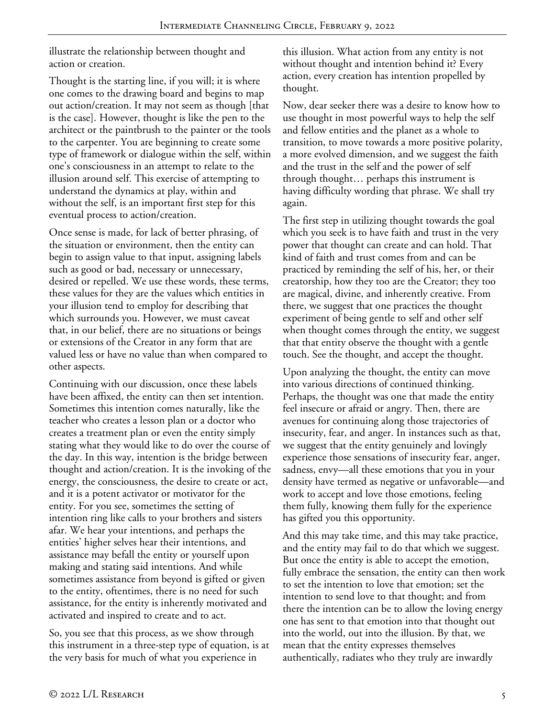illustrate the relationship between thought and action or creation.

Thought is the starting line, if you will; it is where one comes to the drawing board and begins to map out action/creation. It may not seem as though [that is the case]. However, thought is like the pen to the architect or the paintbrush to the painter or the tools to the carpenter. You are beginning to create some type of framework or dialogue within the self, within one's consciousness in an attempt to relate to the illusion around self. This exercise of attempting to understand the dynamics at play, within and without the self, is an important first step for this eventual process to action/creation.

Once sense is made, for lack of better phrasing, of the situation or environment, then the entity can begin to assign value to that input, assigning labels such as good or bad, necessary or unnecessary, desired or repelled. We use these words, these terms, these values for they are the values which entities in your illusion tend to employ for describing that which surrounds you. However, we must caveat that, in our belief, there are no situations or beings or extensions of the Creator in any form that are valued less or have no value than when compared to other aspects.

Continuing with our discussion, once these labels have been affixed, the entity can then set intention. Sometimes this intention comes naturally, like the teacher who creates a lesson plan or a doctor who creates a treatment plan or even the entity simply stating what they would like to do over the course of the day. In this way, intention is the bridge between thought and action/creation. It is the invoking of the energy, the consciousness, the desire to create or act, and it is a potent activator or motivator for the entity. For you see, sometimes the setting of intention ring like calls to your brothers and sisters afar. We hear your intentions, and perhaps the entities' higher selves hear their intentions, and assistance may befall the entity or yourself upon making and stating said intentions. And while sometimes assistance from beyond is gifted or given to the entity, oftentimes, there is no need for such assistance, for the entity is inherently motivated and activated and inspired to create and to act.

So, you see that this process, as we show through this instrument in a three-step type of equation, is at the very basis for much of what you experience in

this illusion. What action from any entity is not without thought and intention behind it? Every action, every creation has intention propelled by thought.

Now, dear seeker there was a desire to know how to use thought in most powerful ways to help the self and fellow entities and the planet as a whole to transition, to move towards a more positive polarity, a more evolved dimension, and we suggest the faith and the trust in the self and the power of self through thought… perhaps this instrument is having difficulty wording that phrase. We shall try again.

The first step in utilizing thought towards the goal which you seek is to have faith and trust in the very power that thought can create and can hold. That kind of faith and trust comes from and can be practiced by reminding the self of his, her, or their creatorship, how they too are the Creator; they too are magical, divine, and inherently creative. From there, we suggest that one practices the thought experiment of being gentle to self and other self when thought comes through the entity, we suggest that that entity observe the thought with a gentle touch. See the thought, and accept the thought.

Upon analyzing the thought, the entity can move into various directions of continued thinking. Perhaps, the thought was one that made the entity feel insecure or afraid or angry. Then, there are avenues for continuing along those trajectories of insecurity, fear, and anger. In instances such as that, we suggest that the entity genuinely and lovingly experience those sensations of insecurity fear, anger, sadness, envy—all these emotions that you in your density have termed as negative or unfavorable—and work to accept and love those emotions, feeling them fully, knowing them fully for the experience has gifted you this opportunity.

And this may take time, and this may take practice, and the entity may fail to do that which we suggest. But once the entity is able to accept the emotion, fully embrace the sensation, the entity can then work to set the intention to love that emotion; set the intention to send love to that thought; and from there the intention can be to allow the loving energy one has sent to that emotion into that thought out into the world, out into the illusion. By that, we mean that the entity expresses themselves authentically, radiates who they truly are inwardly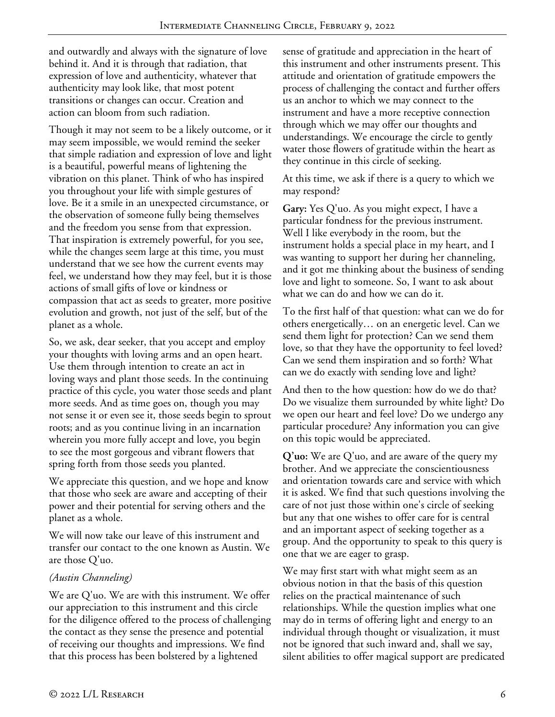and outwardly and always with the signature of love behind it. And it is through that radiation, that expression of love and authenticity, whatever that authenticity may look like, that most potent transitions or changes can occur. Creation and action can bloom from such radiation.

Though it may not seem to be a likely outcome, or it may seem impossible, we would remind the seeker that simple radiation and expression of love and light is a beautiful, powerful means of lightening the vibration on this planet. Think of who has inspired you throughout your life with simple gestures of love. Be it a smile in an unexpected circumstance, or the observation of someone fully being themselves and the freedom you sense from that expression. That inspiration is extremely powerful, for you see, while the changes seem large at this time, you must understand that we see how the current events may feel, we understand how they may feel, but it is those actions of small gifts of love or kindness or compassion that act as seeds to greater, more positive evolution and growth, not just of the self, but of the planet as a whole.

So, we ask, dear seeker, that you accept and employ your thoughts with loving arms and an open heart. Use them through intention to create an act in loving ways and plant those seeds. In the continuing practice of this cycle, you water those seeds and plant more seeds. And as time goes on, though you may not sense it or even see it, those seeds begin to sprout roots; and as you continue living in an incarnation wherein you more fully accept and love, you begin to see the most gorgeous and vibrant flowers that spring forth from those seeds you planted.

We appreciate this question, and we hope and know that those who seek are aware and accepting of their power and their potential for serving others and the planet as a whole.

We will now take our leave of this instrument and transfer our contact to the one known as Austin. We are those Q'uo.

## *(Austin Channeling)*

We are Q'uo. We are with this instrument. We offer our appreciation to this instrument and this circle for the diligence offered to the process of challenging the contact as they sense the presence and potential of receiving our thoughts and impressions. We find that this process has been bolstered by a lightened

sense of gratitude and appreciation in the heart of this instrument and other instruments present. This attitude and orientation of gratitude empowers the process of challenging the contact and further offers us an anchor to which we may connect to the instrument and have a more receptive connection through which we may offer our thoughts and understandings. We encourage the circle to gently water those flowers of gratitude within the heart as they continue in this circle of seeking.

At this time, we ask if there is a query to which we may respond?

**Gary:** Yes Q'uo. As you might expect, I have a particular fondness for the previous instrument. Well I like everybody in the room, but the instrument holds a special place in my heart, and I was wanting to support her during her channeling, and it got me thinking about the business of sending love and light to someone. So, I want to ask about what we can do and how we can do it.

To the first half of that question: what can we do for others energetically… on an energetic level. Can we send them light for protection? Can we send them love, so that they have the opportunity to feel loved? Can we send them inspiration and so forth? What can we do exactly with sending love and light?

And then to the how question: how do we do that? Do we visualize them surrounded by white light? Do we open our heart and feel love? Do we undergo any particular procedure? Any information you can give on this topic would be appreciated.

**Q'uo:** We are Q'uo, and are aware of the query my brother. And we appreciate the conscientiousness and orientation towards care and service with which it is asked. We find that such questions involving the care of not just those within one's circle of seeking but any that one wishes to offer care for is central and an important aspect of seeking together as a group. And the opportunity to speak to this query is one that we are eager to grasp.

We may first start with what might seem as an obvious notion in that the basis of this question relies on the practical maintenance of such relationships. While the question implies what one may do in terms of offering light and energy to an individual through thought or visualization, it must not be ignored that such inward and, shall we say, silent abilities to offer magical support are predicated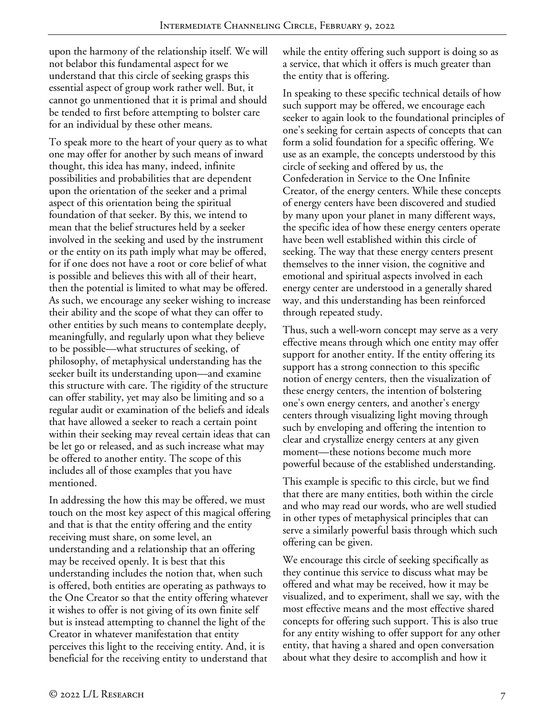upon the harmony of the relationship itself. We will not belabor this fundamental aspect for we understand that this circle of seeking grasps this essential aspect of group work rather well. But, it cannot go unmentioned that it is primal and should be tended to first before attempting to bolster care for an individual by these other means.

To speak more to the heart of your query as to what one may offer for another by such means of inward thought, this idea has many, indeed, infinite possibilities and probabilities that are dependent upon the orientation of the seeker and a primal aspect of this orientation being the spiritual foundation of that seeker. By this, we intend to mean that the belief structures held by a seeker involved in the seeking and used by the instrument or the entity on its path imply what may be offered, for if one does not have a root or core belief of what is possible and believes this with all of their heart, then the potential is limited to what may be offered. As such, we encourage any seeker wishing to increase their ability and the scope of what they can offer to other entities by such means to contemplate deeply, meaningfully, and regularly upon what they believe to be possible—what structures of seeking, of philosophy, of metaphysical understanding has the seeker built its understanding upon—and examine this structure with care. The rigidity of the structure can offer stability, yet may also be limiting and so a regular audit or examination of the beliefs and ideals that have allowed a seeker to reach a certain point within their seeking may reveal certain ideas that can be let go or released, and as such increase what may be offered to another entity. The scope of this includes all of those examples that you have mentioned.

In addressing the how this may be offered, we must touch on the most key aspect of this magical offering and that is that the entity offering and the entity receiving must share, on some level, an understanding and a relationship that an offering may be received openly. It is best that this understanding includes the notion that, when such is offered, both entities are operating as pathways to the One Creator so that the entity offering whatever it wishes to offer is not giving of its own finite self but is instead attempting to channel the light of the Creator in whatever manifestation that entity perceives this light to the receiving entity. And, it is beneficial for the receiving entity to understand that

while the entity offering such support is doing so as a service, that which it offers is much greater than the entity that is offering.

In speaking to these specific technical details of how such support may be offered, we encourage each seeker to again look to the foundational principles of one's seeking for certain aspects of concepts that can form a solid foundation for a specific offering. We use as an example, the concepts understood by this circle of seeking and offered by us, the Confederation in Service to the One Infinite Creator, of the energy centers. While these concepts of energy centers have been discovered and studied by many upon your planet in many different ways, the specific idea of how these energy centers operate have been well established within this circle of seeking. The way that these energy centers present themselves to the inner vision, the cognitive and emotional and spiritual aspects involved in each energy center are understood in a generally shared way, and this understanding has been reinforced through repeated study.

Thus, such a well-worn concept may serve as a very effective means through which one entity may offer support for another entity. If the entity offering its support has a strong connection to this specific notion of energy centers, then the visualization of these energy centers, the intention of bolstering one's own energy centers, and another's energy centers through visualizing light moving through such by enveloping and offering the intention to clear and crystallize energy centers at any given moment—these notions become much more powerful because of the established understanding.

This example is specific to this circle, but we find that there are many entities, both within the circle and who may read our words, who are well studied in other types of metaphysical principles that can serve a similarly powerful basis through which such offering can be given.

We encourage this circle of seeking specifically as they continue this service to discuss what may be offered and what may be received, how it may be visualized, and to experiment, shall we say, with the most effective means and the most effective shared concepts for offering such support. This is also true for any entity wishing to offer support for any other entity, that having a shared and open conversation about what they desire to accomplish and how it